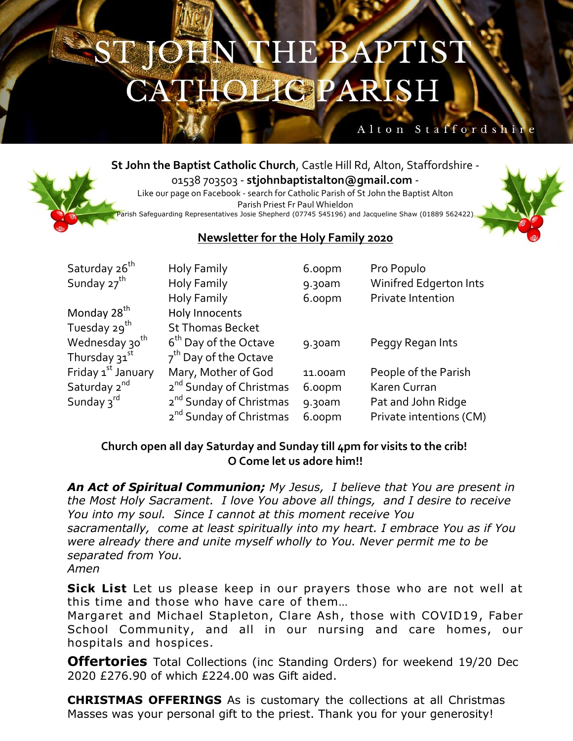## OHN THE BAPTIST **THOLIGPARISH**

### Alton Staffordshi

**St John the Baptist Catholic Church**, Castle Hill Rd, Alton, Staffordshire - 01538 703503 - **stjohnbaptistalton@gmail.com** -

Like our page on Facebook - search for Catholic Parish of St John the Baptist Alton Parish Priest Fr Paul Whieldon Parish Safeguarding Representatives Josie Shepherd (07745 545196) and Jacqueline Shaw (01889 562422)



### **Newsletter for the Holy Family 2020**

| Saturday 26 <sup>th</sup>      | Holy Family                         | 6.00pm    | Pro Populo              |
|--------------------------------|-------------------------------------|-----------|-------------------------|
| Sunday 27 <sup>th</sup>        | Holy Family                         | 9.30am    | Winifred Edgerton Ints  |
|                                | Holy Family                         | 6.00pm    | Private Intention       |
| Monday 28 <sup>th</sup>        | Holy Innocents                      |           |                         |
| Tuesday 29 <sup>th</sup>       | <b>St Thomas Becket</b>             |           |                         |
| Wednesday 30 <sup>th</sup>     | 6 <sup>th</sup> Day of the Octave   | 9.30am    | Peggy Regan Ints        |
| Thursday 31st                  | 7 <sup>th</sup> Day of the Octave   |           |                         |
| Friday 1 <sup>st</sup> January | Mary, Mother of God                 | 11.00am   | People of the Parish    |
| Saturday 2 <sup>nd</sup>       | 2 <sup>nd</sup> Sunday of Christmas | 6.00pm    | Karen Curran            |
| Sunday $3^{rd}$                | 2 <sup>nd</sup> Sunday of Christmas | $9.30$ am | Pat and John Ridge      |
|                                | 2 <sup>nd</sup> Sunday of Christmas | 6.00pm    | Private intentions (CM) |

#### **Church open all day Saturday and Sunday till 4pm for visits to the crib! O Come let us adore him!!**

*An Act of Spiritual Communion; My Jesus, I believe that You are present in the Most Holy Sacrament. I love You above all things, and I desire to receive You into my soul. Since I cannot at this moment receive You sacramentally, come at least spiritually into my heart. I embrace You as if You were already there and unite myself wholly to You. Never permit me to be separated from You. Amen*

**Sick List** Let us please keep in our prayers those who are not well at this time and those who have care of them…

Margaret and Michael Stapleton, Clare Ash, those with COVID19, Faber School Community, and all in our nursing and care homes, our hospitals and hospices.

**Offertories** Total Collections (inc Standing Orders) for weekend 19/20 Dec 2020 £276.90 of which £224.00 was Gift aided.

**CHRISTMAS OFFERINGS** As is customary the collections at all Christmas Masses was your personal gift to the priest. Thank you for your generosity!